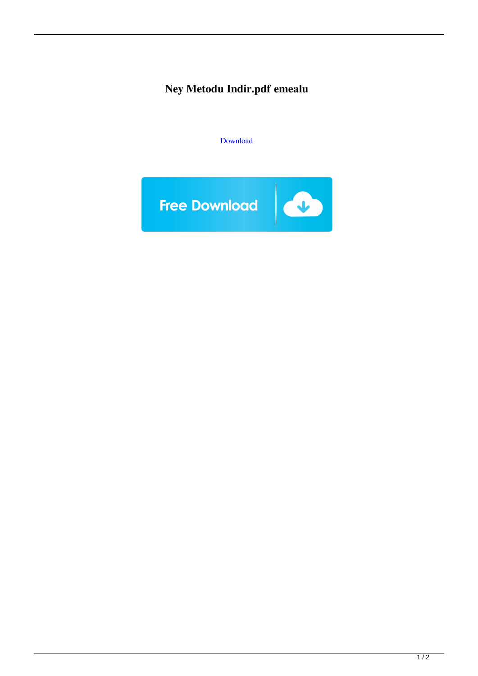**Ney Metodu Indir.pdf emealu**